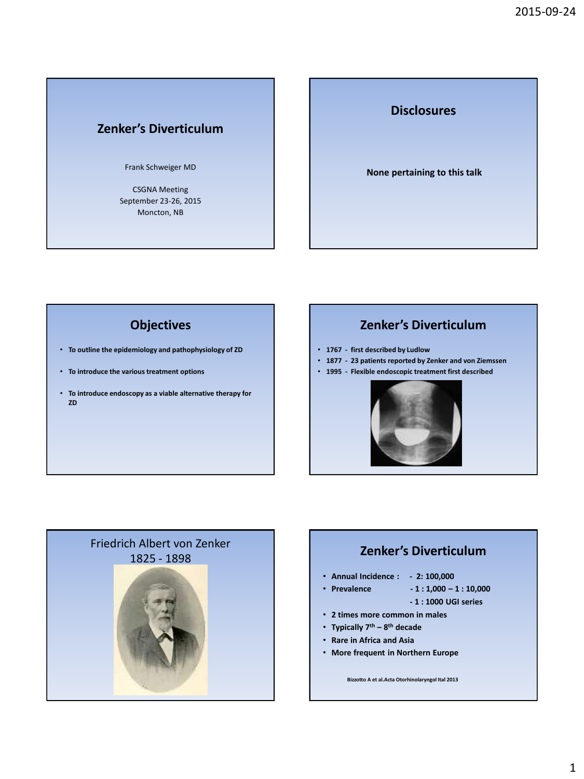# **Zenker's Diverticulum**

#### Frank Schweiger MD

CSGNA Meeting September 23-26, 2015 Moncton, NB

# **Disclosures**

### **None pertaining to this talk**

# **Objectives**

- **To outline the epidemiology and pathophysiology of ZD**
- **To introduce the various treatment options**
- **To introduce endoscopy as a viable alternative therapy for ZD**

# **Zenker's Diverticulum**

- **1767 first described by Ludlow**
- **1877 23 patients reported by Zenker and von Ziemssen**
- **1995 Flexible endoscopic treatment first described**





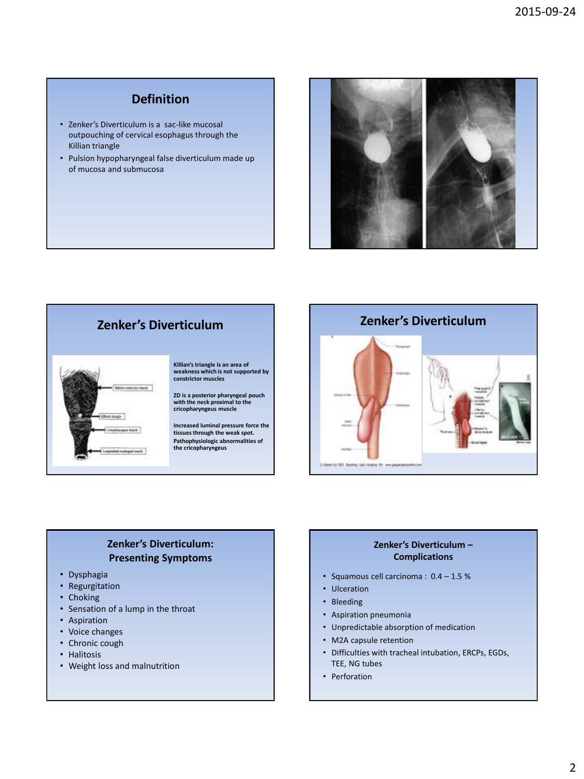# **Definition**

- Zenker's Diverticulum is a sac-like mucosal outpouching of cervical esophagus through the Killian triangle
- Pulsion hypopharyngeal false diverticulum made up of mucosa and submucosa





# **Zenker's Diverticulum**

# **Zenker's Diverticulum: Presenting Symptoms**

- Dysphagia
- Regurgitation
- Choking
- Sensation of a lump in the throat
- Aspiration
- Voice changes
- Chronic cough
- Halitosis
- Weight loss and malnutrition

## **Zenker's Diverticulum – Complications**

- Squamous cell carcinoma : 0.4 1.5 %
- Ulceration
- Bleeding
- Aspiration pneumonia
- Unpredictable absorption of medication
- M2A capsule retention
- Difficulties with tracheal intubation, ERCPs, EGDs, TEE, NG tubes
- Perforation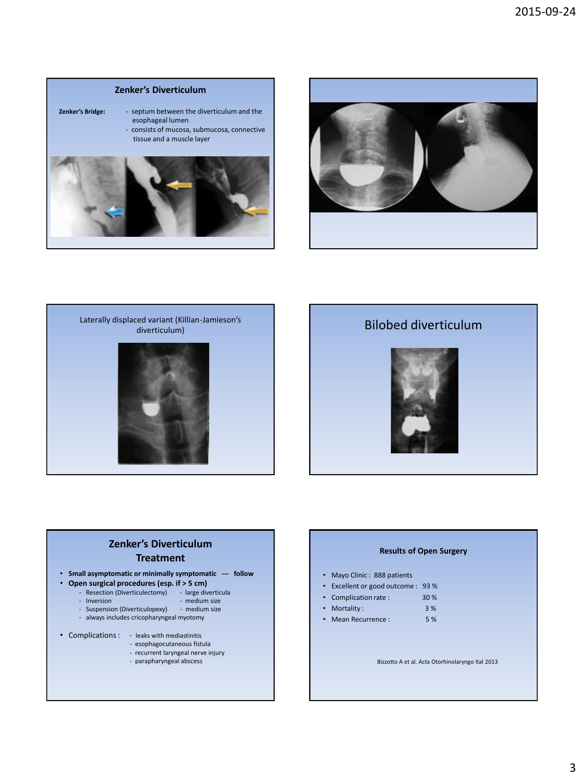## **Zenker's Diverticulum**

- **Zenker's Bridge:** septum between the diverticulum and the esophageal lumen - consists of mucosa, submucosa, connective
	- tissue and a muscle layer







# diverticulum) Bilobed diverticulum



# **Zenker's Diverticulum Treatment**

- **Small asymptomatic or minimally symptomatic --- follow**
- **Open surgical procedures (esp. if > 5 cm)**
	- Resection (Diverticulectomy) large diverticula<br>- Inversion medium size - medium size
	-
	- Suspension (Diverticulopexy) medium size - always includes cricopharyngeal myotomy
	-
- Complications : leaks with mediastinitis
	- esophagocutaneous fistula
	- recurrent laryngeal nerve injury
	- parapharyngeal abscess

#### **Results of Open Surgery**

- Mayo Clinic : 888 patients
- Excellent or good outcome : 93 %
- Complication rate : 30 %
- Mortality : 3 %
	- Mean Recurrence : 5 %

Bizzotto A et al. Acta Otorhinolaryngo Ital 2013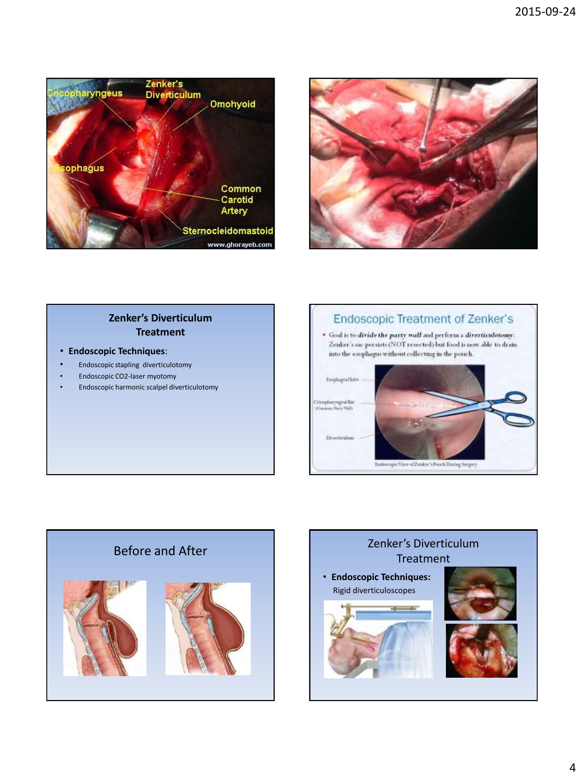



## **Zenker's Diverticulum Treatment**

- **Endoscopic Techniques**:
- Endoscopic stapling diverticulotomy
- Endoscopic CO2-laser myotomy
- Endoscopic harmonic scalpel diverticulotomy





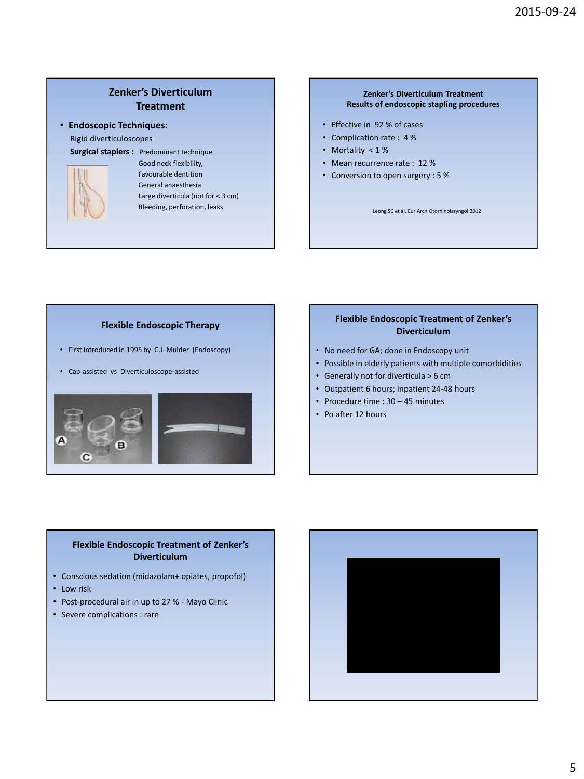# **Zenker's Diverticulum Treatment**

• **Endoscopic Techniques**: Rigid diverticuloscopes  **Surgical staplers :** Predominant technique



 Good neck flexibility, Favourable dentition General anaesthesia Large diverticula (not for < 3 cm) Bleeding, perforation, leaks

#### **Zenker's Diverticulum Treatment Results of endoscopic stapling procedures**

- Effective in 92 % of cases
- Complication rate : 4 %
- Mortality < 1 %
- Mean recurrence rate : 12 %
- Conversion to open surgery : 5 %

Leong SC et al. Eur Arch Otorhinolaryngol 2012

## **Flexible Endoscopic Therapy**

- First introduced in 1995 by C.J. Mulder (Endoscopy)
- Cap-assisted vs Diverticuloscope-assisted



## **Flexible Endoscopic Treatment of Zenker's Diverticulum**

- No need for GA; done in Endoscopy unit
- Possible in elderly patients with multiple comorbidities
- Generally not for diverticula > 6 cm
- Outpatient 6 hours; inpatient 24-48 hours
- Procedure time : 30 45 minutes
- Po after 12 hours

## **Flexible Endoscopic Treatment of Zenker's Diverticulum**

- Conscious sedation (midazolam+ opiates, propofol)
- Low risk
- Post-procedural air in up to 27 % Mayo Clinic
- Severe complications : rare

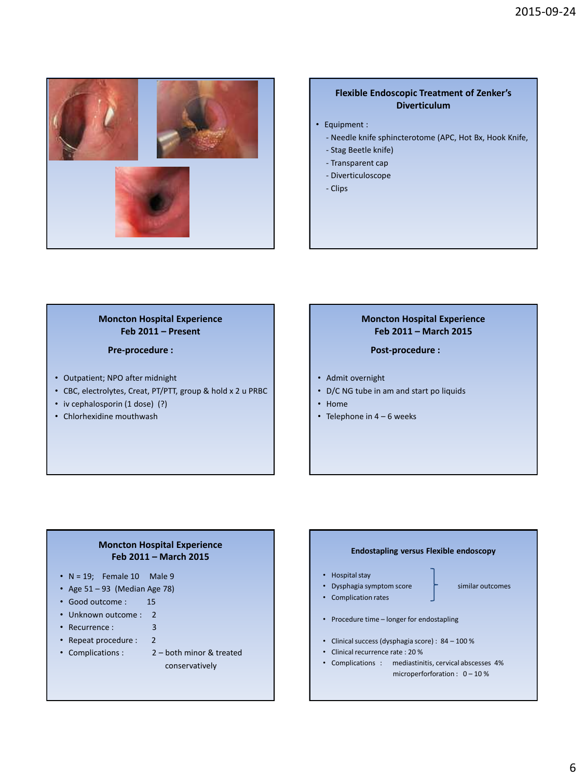

## **Flexible Endoscopic Treatment of Zenker's Diverticulum**

- Equipment :
	- Needle knife sphincterotome (APC, Hot Bx, Hook Knife,
	- Stag Beetle knife)
	- Transparent cap
	- Diverticuloscope
	- Clips

**Moncton Hospital Experience Feb 2011 – Present**

 **Pre-procedure :**

- Outpatient; NPO after midnight
- CBC, electrolytes, Creat, PT/PTT, group & hold x 2 u PRBC
- iv cephalosporin (1 dose) (?)
- Chlorhexidine mouthwash

### **Moncton Hospital Experience Feb 2011 – March 2015**

#### **Post-procedure :**

- Admit overnight
- D/C NG tube in am and start po liquids
- Home
- Telephone in  $4 6$  weeks

## **Moncton Hospital Experience Feb 2011 – March 2015**

- $N = 19$ ; Female 10 Male 9
- Age  $51 93$  (Median Age 78)
- Good outcome : 15
- Unknown outcome : 2
- Recurrence : 3
- Repeat procedure : 2
- Complications : 2 both minor & treated conservatively

## **Endostapling versus Flexible endoscopy**

- Hospital stay
- Dysphagia symptom score  $\Gamma$  similar outcomes

- Complication rates
- 
- Procedure time longer for endostapling
- Clinical success (dysphagia score) : 84 100 %
- Clinical recurrence rate : 20 %
- Complications : mediastinitis, cervical abscesses 4% microperforforation : 0 – 10 %